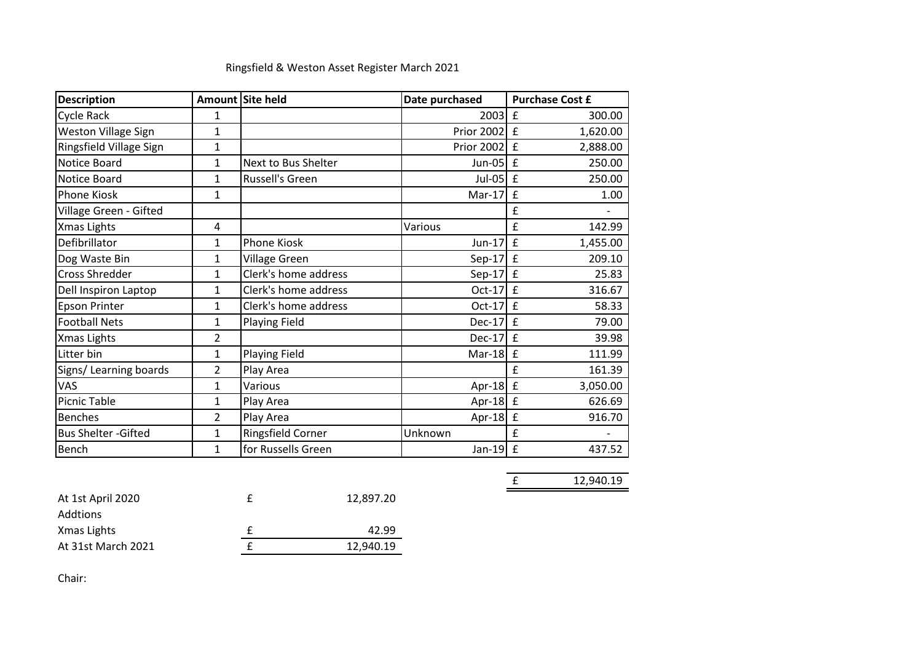| <b>Description</b>          |                | Amount Site held     | Date purchased    | <b>Purchase Cost £</b>  |
|-----------------------------|----------------|----------------------|-------------------|-------------------------|
| Cycle Rack                  | 1              |                      | 2003              | £<br>300.00             |
| <b>Weston Village Sign</b>  | 1              |                      | Prior 2002        | £<br>1,620.00           |
| Ringsfield Village Sign     | 1              |                      | <b>Prior 2002</b> | £<br>2,888.00           |
| Notice Board                | $\mathbf{1}$   | Next to Bus Shelter  | $Jun-05$          | 250.00<br>£             |
| Notice Board                | 1              | Russell's Green      | $Jul-05$          | $\mathbf f$<br>250.00   |
| Phone Kiosk                 | 1              |                      | $Mar-17$          | £<br>1.00               |
| Village Green - Gifted      |                |                      |                   | £                       |
| Xmas Lights                 | 4              |                      | Various           | £<br>142.99             |
| Defibrillator               | 1              | Phone Kiosk          | $Jun-17$          | £<br>1,455.00           |
| Dog Waste Bin               | 1              | Village Green        | $Sep-17$          | £<br>209.10             |
| Cross Shredder              | 1              | Clerk's home address | $Sep-17$          | f<br>25.83              |
| Dell Inspiron Laptop        | 1              | Clerk's home address | $Oct-17$          | £<br>316.67             |
| <b>Epson Printer</b>        | 1              | Clerk's home address | $Oct-17$          | $\mathbf f$<br>58.33    |
| <b>Football Nets</b>        | 1              | <b>Playing Field</b> | $Dec-17$          | $\mathbf f$<br>79.00    |
| Xmas Lights                 | $\overline{2}$ |                      | $Dec-17$          | $\mathbf f$<br>39.98    |
| Litter bin                  | 1              | <b>Playing Field</b> | $Mar-18$          | 111.99<br>£             |
| Signs/ Learning boards      | 2              | Play Area            |                   | £<br>161.39             |
| VAS                         | 1              | Various              | $Apr-18$          | $\mathbf f$<br>3,050.00 |
| <b>Picnic Table</b>         | 1              | Play Area            | Apr-18 $E$        | 626.69                  |
| <b>Benches</b>              | 2              | Play Area            | Apr-18            | £<br>916.70             |
| <b>Bus Shelter - Gifted</b> | 1              | Ringsfield Corner    | Unknown           | £                       |
| Bench                       | 1              | for Russells Green   | $Jan-19$          | £<br>437.52             |

£ 12,940.19

## Ringsfield & Weston Asset Register March 2021

| At 1st April 2020  | 12,897.20 |
|--------------------|-----------|
| Addtions           |           |
| Xmas Lights        | 42.99     |
| At 31st March 2021 | 12,940.19 |

Chair: